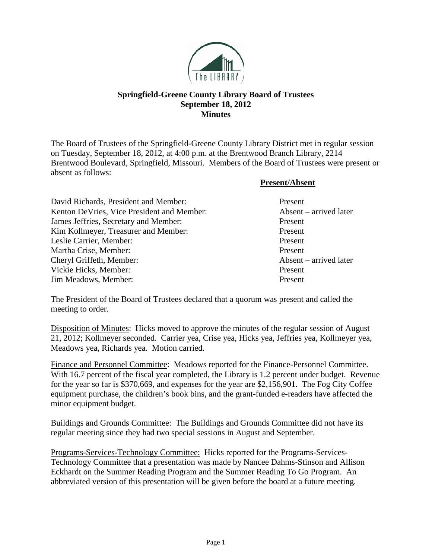

## **Springfield-Greene County Library Board of Trustees September 18, 2012 Minutes**

The Board of Trustees of the Springfield-Greene County Library District met in regular session on Tuesday, September 18, 2012, at 4:00 p.m. at the Brentwood Branch Library, 2214 Brentwood Boulevard, Springfield, Missouri. Members of the Board of Trustees were present or absent as follows:

## **Present/Absent**

| David Richards, President and Member:      | Present                |
|--------------------------------------------|------------------------|
| Kenton DeVries, Vice President and Member: | Absent – arrived later |
| James Jeffries, Secretary and Member:      | Present                |
| Kim Kollmeyer, Treasurer and Member:       | Present                |
| Leslie Carrier, Member:                    | Present                |
| Martha Crise, Member:                      | Present                |
| Cheryl Griffeth, Member:                   | Absent – arrived later |
| Vickie Hicks, Member:                      | Present                |
| Jim Meadows, Member:                       | Present                |

The President of the Board of Trustees declared that a quorum was present and called the meeting to order.

Disposition of Minutes: Hicks moved to approve the minutes of the regular session of August 21, 2012; Kollmeyer seconded. Carrier yea, Crise yea, Hicks yea, Jeffries yea, Kollmeyer yea, Meadows yea, Richards yea. Motion carried.

Finance and Personnel Committee: Meadows reported for the Finance-Personnel Committee. With 16.7 percent of the fiscal year completed, the Library is 1.2 percent under budget. Revenue for the year so far is \$370,669, and expenses for the year are \$2,156,901. The Fog City Coffee equipment purchase, the children's book bins, and the grant-funded e-readers have affected the minor equipment budget.

Buildings and Grounds Committee: The Buildings and Grounds Committee did not have its regular meeting since they had two special sessions in August and September.

Programs-Services-Technology Committee: Hicks reported for the Programs-Services-Technology Committee that a presentation was made by Nancee Dahms-Stinson and Allison Eckhardt on the Summer Reading Program and the Summer Reading To Go Program. An abbreviated version of this presentation will be given before the board at a future meeting.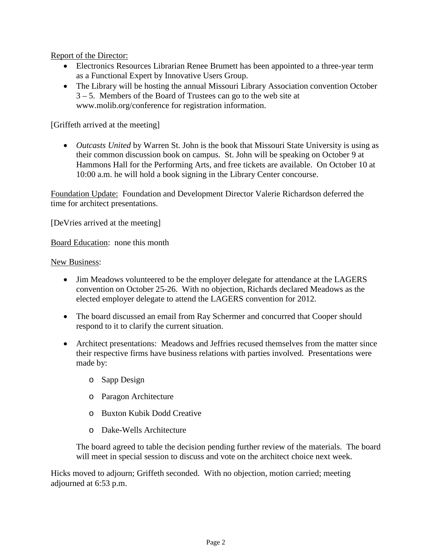Report of the Director:

- Electronics Resources Librarian Renee Brumett has been appointed to a three-year term as a Functional Expert by Innovative Users Group.
- The Library will be hosting the annual Missouri Library Association convention October 3 – 5. Members of the Board of Trustees can go to the web site at www.molib.org/conference for registration information.

[Griffeth arrived at the meeting]

• *Outcasts United* by Warren St. John is the book that Missouri State University is using as their common discussion book on campus. St. John will be speaking on October 9 at Hammons Hall for the Performing Arts, and free tickets are available. On October 10 at 10:00 a.m. he will hold a book signing in the Library Center concourse.

Foundation Update: Foundation and Development Director Valerie Richardson deferred the time for architect presentations.

[DeVries arrived at the meeting]

Board Education: none this month

## New Business:

- Jim Meadows volunteered to be the employer delegate for attendance at the LAGERS convention on October 25-26. With no objection, Richards declared Meadows as the elected employer delegate to attend the LAGERS convention for 2012.
- The board discussed an email from Ray Schermer and concurred that Cooper should respond to it to clarify the current situation.
- Architect presentations: Meadows and Jeffries recused themselves from the matter since their respective firms have business relations with parties involved. Presentations were made by:
	- o Sapp Design
	- o Paragon Architecture
	- o Buxton Kubik Dodd Creative
	- o Dake-Wells Architecture

The board agreed to table the decision pending further review of the materials. The board will meet in special session to discuss and vote on the architect choice next week.

Hicks moved to adjourn; Griffeth seconded. With no objection, motion carried; meeting adjourned at 6:53 p.m.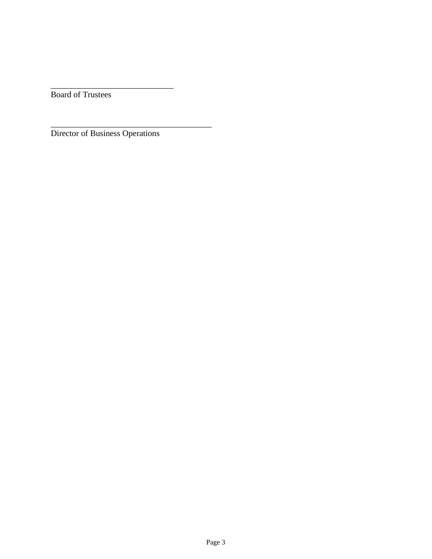Board of Trustees

Director of Business Operations

\_\_\_\_\_\_\_\_\_\_\_\_\_\_\_\_\_\_\_\_\_\_\_\_\_\_\_\_\_

\_\_\_\_\_\_\_\_\_\_\_\_\_\_\_\_\_\_\_\_\_\_\_\_\_\_\_\_\_\_\_\_\_\_\_\_\_\_